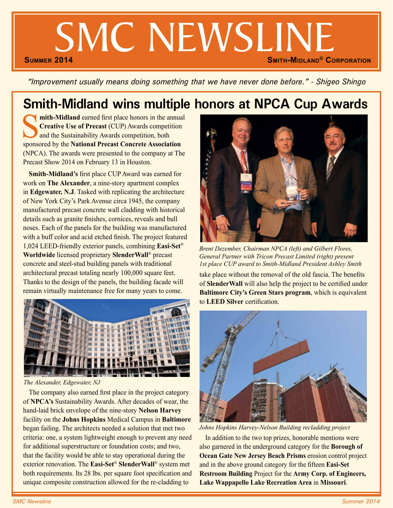# SMC NEWSLINE **SMITH-MIDLAND<sup>®</sup> CORPORATION**

*"Improvement usually means doing something that we have never done before." - Shigeo Shingo*

# **Smith-Midland wins multiple honors at NPCA Cup Awards**

**mith-Midland** earned first place honors in the annual **Creative Use of Precast** (CUP) Awards competition and the Sustainability Awards competition, both sponsored by the **National Precast Concrete Association** (NPCA). The awards were presented to the company at The Precast Show 2014 on February 13 in Houston.

**Smith-Midland's** first place CUP Award was earned for work on **The Alexander**, a nine-story apartment complex in **Edgewater, N.J**. Tasked with replicating the architecture of New York City's Park Avenue circa 1945, the company manufactured precast concrete wall cladding with historical details such as granite finishes, cornices, reveals and bull noses. Each of the panels for the building was manufactured with a buff color and acid etched finish. The project featured 1,024 LEED-friendly exterior panels, combining **Easi-Set**® **Worldwide** licensed proprietary **SlenderWall**® precast concrete and steel-stud building panels with traditional architectural precast totaling nearly 100,000 square feet. Thanks to the design of the panels, the building facade will remain virtually maintenance free for many years to come.



*The Alexander, Edgewater, NJ*

The company also earned first place in the project category of **NPCA's** Sustainability Awards. After decades of wear, the hand-laid brick envelope of the nine-story **Nelson Harvey** facility on the **Johns Hopkins** Medical Campus in **Baltimore** began failing. The architects needed a solution that met two criteria: one, a system lightweight enough to prevent any need for additional superstructure or foundation costs; and two, that the facility would be able to stay operational during the exterior renovation. The **Easi-Set**® **SlenderWall**® system met both requirements. Its 28 lbs. per square foot specification and unique composite construction allowed for the re-cladding to



*Brent Dezember, Chairman NPCA (left) and Gilbert Flores, General Partner with Tricon Precast Limited (right) present 1st place CUP award to Smith-Midland President Ashley Smith*

take place without the removal of the old fascia. The benefits of **SlenderWall** will also help the project to be certified under **Baltimore City's Green Stars program**, which is equivalent to **LEED Silver** certification.



*Johns Hopkins Harvey-Nelson Building recladding project*

In addition to the two top prizes, honorable mentions were also garnered in the underground category for the **Borough of Ocean Gate New Jersey Beach Prisms** erosion control project and in the above ground category for the fifteen **Easi-Set Restroom Building** Project for the **Army Corp. of Engineers, Lake Wappapello Lake Recreation Area** in **Missouri**.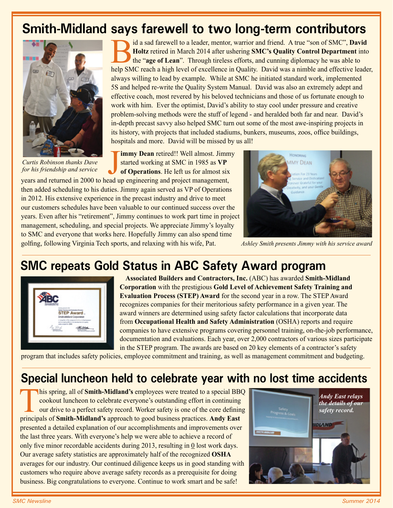### **Smith-Midland says farewell to two long-term contributors**



*Curtis Robinson thanks Dave for his friendship and service*

Bid a sad farewell to a leader, mentor, warrior and friend. A true "son of SMC", **David Holtz** retired in March 2014 after ushering **SMC's Quality Control Department** into the "**age of Lean**". Through tireless efforts, and cunning diplomacy he was able to help SMC reach a high level of excellence in Quality. David was a nimble and effective leader, always willing to lead by example. While at SMC he initiated standard work, implemented 5S and helped re-write the Quality System Manual. David was also an extremely adept and effective coach, most revered by his beloved technicians and those of us fortunate enough to work with him. Ever the optimist, David's ability to stay cool under pressure and creative problem-solving methods were the stuff of legend - and heralded both far and near. David's in-depth precast savvy also helped SMC turn out some of the most awe-inspiring projects in its history, with projects that included stadiums, bunkers, museums, zoos, office buildings, hospitals and more. David will be missed by us all!

**Finally Curtis Robinson thanks Dave**<br>For his friendship and service<br>years and returned in 2000 to head up engineering and project management, **immy Dean** retired!! Well almost. Jimmy started working at SMC in 1985 as **VP of Operations**. He left us for almost six

then added scheduling to his duties. Jimmy again served as VP of Operations in 2012. His extensive experience in the precast industry and drive to meet our customers schedules have been valuable to our continued success over the years. Even after his "retirement", Jimmy continues to work part time in project management, scheduling, and special projects. We appreciate Jimmy's loyalty to SMC and everyone that works here. Hopefully Jimmy can also spend time golfing, following Virginia Tech sports, and relaxing with his wife, Pat.



*Ashley Smith presents Jimmy with his service award*

### **SMC repeats Gold Status in ABC Safety Award program**



**Associated Builders and Contractors, Inc.** (ABC) has awarded **Smith-Midland Corporation** with the prestigious **Gold Level of Achievement Safety Training and Evaluation Process (STEP) Award** for the second year in a row. The STEP Award recognizes companies for their meritorious safety performance in a given year. The award winners are determined using safety factor calculations that incorporate data from **Occupational Health and Safety Administration** (OSHA) reports and require companies to have extensive programs covering personnel training, on-the-job performance, documentation and evaluations. Each year, over 2,000 contractors of various sizes participate in the STEP program. The awards are based on 20 key elements of a contractor's safety

program that includes safety policies, employee commitment and training, as well as management commitment and budgeting.

### **Special luncheon held to celebrate year with no lost time accidents**

This spring, all of **Smith-Midland's** employees were treated to a special BBQ cookout luncheon to celebrate everyone's outstanding effort in continuing our drive to a perfect safety record. Worker safety is one of the core defining principals of **Smith-Midland's** approach to good business practices. **Andy East**  presented a detailed explanation of our accomplishments and improvements over the last three years. With everyone's help we were able to achieve a record of only five minor recordable accidents during 2013, resulting in 0 lost work days. Our average safety statistics are approximately half of the recognized **OSHA**  averages for our industry. Our continued diligence keeps us in good standing with customers who require above average safety records as a prerequisite for doing business. Big congratulations to everyone. Continue to work smart and be safe!

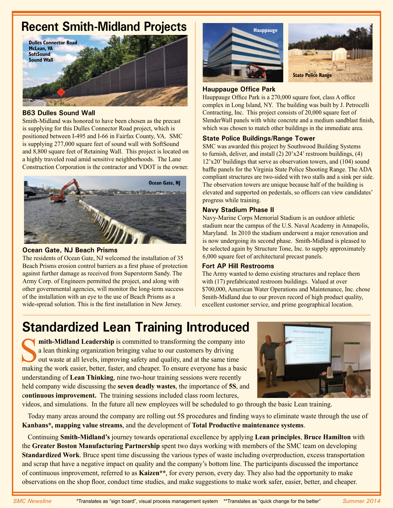### **Recent Smith-Midland Projects**



#### **B63 Dulles Sound Wall**

Smith-Midland was honored to have been chosen as the precast is supplying for this Dulles Connector Road project, which is positioned between I-495 and I-66 in Fairfax County, VA. SMC is supplying 277,000 square feet of sound wall with SoftSound and 8,800 square feet of Retaining Wall. This project is located on a highly traveled road amid sensitive neighborhoods. The Lane Construction Corporation is the contractor and VDOT is the owner.



#### **Ocean Gate, NJ Beach Prisms**

The residents of Ocean Gate, NJ welcomed the installation of 35 Beach Prisms erosion control barriers as a first phase of protection against further damage as received from Superstorm Sandy. The Army Corp. of Engineers permitted the project, and along with other governmental agencies, will monitor the long-term success of the installation with an eye to the use of Beach Prisms as a wide-spread solution. This is the first installation in New Jersey.



#### **Hauppauge Office Park**

Hauppauge Office Park is a 270,000 square foot, class A office complex in Long Island, NY. The building was built by J. Petrocelli Contracting, Inc. This project consists of 20,000 square feet of SlenderWall panels with white concrete and a medium sandblast finish, which was chosen to match other buildings in the immediate area.

#### **State Police Buildings/Range Tower**

SMC was awarded this project by Southwood Building Systems to furnish, deliver, and install  $(2)$   $20'x24'$  restroom buildings,  $(4)$ 12'x20' buildings that serve as observation towers, and (104) sound baffle panels for the Virginia State Police Shooting Range. The ADA compliant structures are two-sided with two stalls and a sink per side. The observation towers are unique because half of the building is elevated and supported on pedestals, so officers can view candidates' progress while training.

#### **Navy Stadium Phase II**

Navy-Marine Corps Memorial Stadium is an outdoor athletic stadium near the campus of the U.S. Naval Academy in Annapolis, Maryland. In 2010 the stadium underwent a major renovation and is now undergoing its second phase. Smith-Midland is pleased to be selected again by Structure Tone, Inc. to supply approximately 6,000 square feet of architectural precast panels.

#### **Fort AP Hill Restrooms**

The Army wanted to demo existing structures and replace them with (17) prefabricated restroom buildings. Valued at over \$700,000, American Water Operations and Maintenance, Inc. chose Smith-Midland due to our proven record of high product quality, excellent customer service, and prime geographical location.

# **Standardized Lean Training Introduced**

**Solution 1.5 mith-Midland Leadership** is committed to transforming the company into a lean thinking organization bringing value to our customers by driving out waste at all levels, improving safety and quality, and at the a lean thinking organization bringing value to our customers by driving out waste at all levels, improving safety and quality, and at the same time making the work easier, better, faster, and cheaper. To ensure everyone has a basic understanding of **Lean Thinking**, nine two-hour training sessions were recently held company wide discussing the **seven deadly wastes**, the importance of **5S**, and c**ontinuous improvement.** The training sessions included class room lectures,



videos, and simulations. In the future all new employees will be scheduled to go through the basic Lean training.

Today many areas around the company are rolling out 5S procedures and finding ways to eliminate waste through the use of **Kanbans\*, mapping value streams**, and the development of **Total Productive maintenance systems**.

Continuing **Smith-Midland's** journey towards operational excellence by applying **Lean principles**, **Bruce Hamilton** with the **Greater Boston Manufacturing Partnership** spent two days working with members of the SMC team on developing **Standardized Work**. Bruce spent time discussing the various types of waste including overproduction, excess transportation and scrap that have a negative impact on quality and the company's bottom line. The participants discussed the importance of continuous improvement, referred to as **Kaizen\*\***, for every person, every day. They also had the opportunity to make observations on the shop floor, conduct time studies, and make suggestions to make work safer, easier, better, and cheaper.